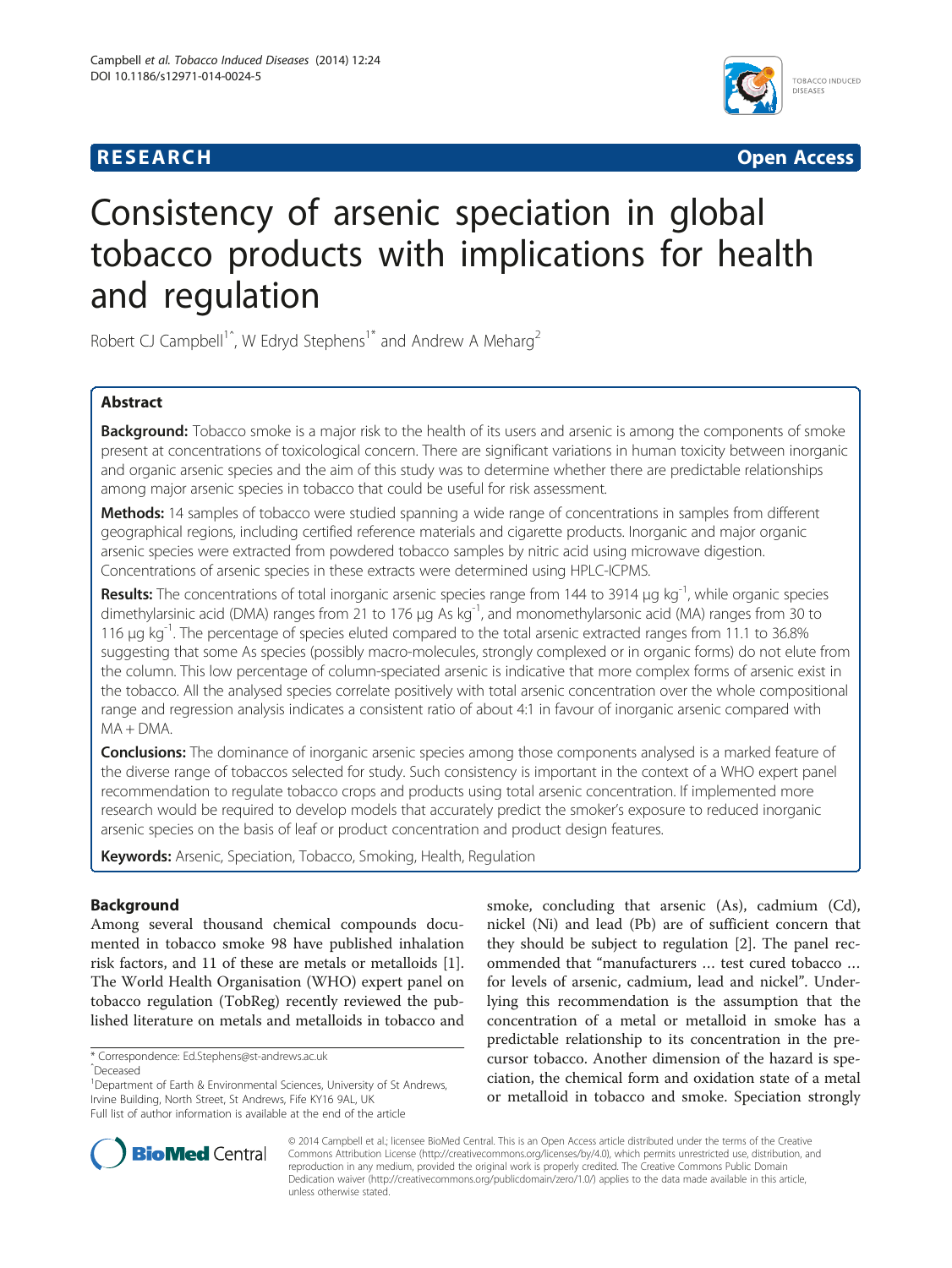## **RESEARCH RESEARCH** *CHECKER CHECKER CHECKER CHECKER CHECKER CHECKER CHECKER CHECKER CHECKER CHECKER CHECKER*



# Consistency of arsenic speciation in global tobacco products with implications for health and regulation

Robert CJ Campbell<sup>1</sup><sup>^</sup>, W Edryd Stephens<sup>1\*</sup> and Andrew A Meharg<sup>2</sup>

## Abstract

Background: Tobacco smoke is a major risk to the health of its users and arsenic is among the components of smoke present at concentrations of toxicological concern. There are significant variations in human toxicity between inorganic and organic arsenic species and the aim of this study was to determine whether there are predictable relationships among major arsenic species in tobacco that could be useful for risk assessment.

Methods: 14 samples of tobacco were studied spanning a wide range of concentrations in samples from different geographical regions, including certified reference materials and cigarette products. Inorganic and major organic arsenic species were extracted from powdered tobacco samples by nitric acid using microwave digestion. Concentrations of arsenic species in these extracts were determined using HPLC-ICPMS.

Results: The concentrations of total inorganic arsenic species range from 144 to 3914 μg kg<sup>-1</sup>, while organic species dimethylarsinic acid (DMA) ranges from 21 to 176 μg As kg<sup>-1</sup>, and monomethylarsonic acid (MA) ranges from 30 to 116 μg kg-1. The percentage of species eluted compared to the total arsenic extracted ranges from 11.1 to 36.8% suggesting that some As species (possibly macro-molecules, strongly complexed or in organic forms) do not elute from the column. This low percentage of column-speciated arsenic is indicative that more complex forms of arsenic exist in the tobacco. All the analysed species correlate positively with total arsenic concentration over the whole compositional range and regression analysis indicates a consistent ratio of about 4:1 in favour of inorganic arsenic compared with MA + DMA.

Conclusions: The dominance of inorganic arsenic species among those components analysed is a marked feature of the diverse range of tobaccos selected for study. Such consistency is important in the context of a WHO expert panel recommendation to regulate tobacco crops and products using total arsenic concentration. If implemented more research would be required to develop models that accurately predict the smoker's exposure to reduced inorganic arsenic species on the basis of leaf or product concentration and product design features.

Keywords: Arsenic, Speciation, Tobacco, Smoking, Health, Regulation

## Background

Among several thousand chemical compounds documented in tobacco smoke 98 have published inhalation risk factors, and 11 of these are metals or metalloids [\[1](#page-6-0)]. The World Health Organisation (WHO) expert panel on tobacco regulation (TobReg) recently reviewed the published literature on metals and metalloids in tobacco and

\* Correspondence: [Ed.Stephens@st-andrews.ac.uk](mailto:Ed.Stephens@st-andrews.ac.uk) <sup>ˆ</sup>Deceased

<sup>1</sup>Department of Earth & Environmental Sciences, University of St Andrews, Irvine Building, North Street, St Andrews, Fife KY16 9AL, UK Full list of author information is available at the end of the article

smoke, concluding that arsenic (As), cadmium (Cd), nickel (Ni) and lead (Pb) are of sufficient concern that they should be subject to regulation [[2\]](#page-6-0). The panel recommended that "manufacturers … test cured tobacco … for levels of arsenic, cadmium, lead and nickel". Underlying this recommendation is the assumption that the concentration of a metal or metalloid in smoke has a predictable relationship to its concentration in the precursor tobacco. Another dimension of the hazard is speciation, the chemical form and oxidation state of a metal or metalloid in tobacco and smoke. Speciation strongly



© 2014 Campbell et al.; licensee BioMed Central. This is an Open Access article distributed under the terms of the Creative Commons Attribution License [\(http://creativecommons.org/licenses/by/4.0\)](http://creativecommons.org/licenses/by/4.0), which permits unrestricted use, distribution, and reproduction in any medium, provided the original work is properly credited. The Creative Commons Public Domain Dedication waiver [\(http://creativecommons.org/publicdomain/zero/1.0/](http://creativecommons.org/publicdomain/zero/1.0/)) applies to the data made available in this article, unless otherwise stated.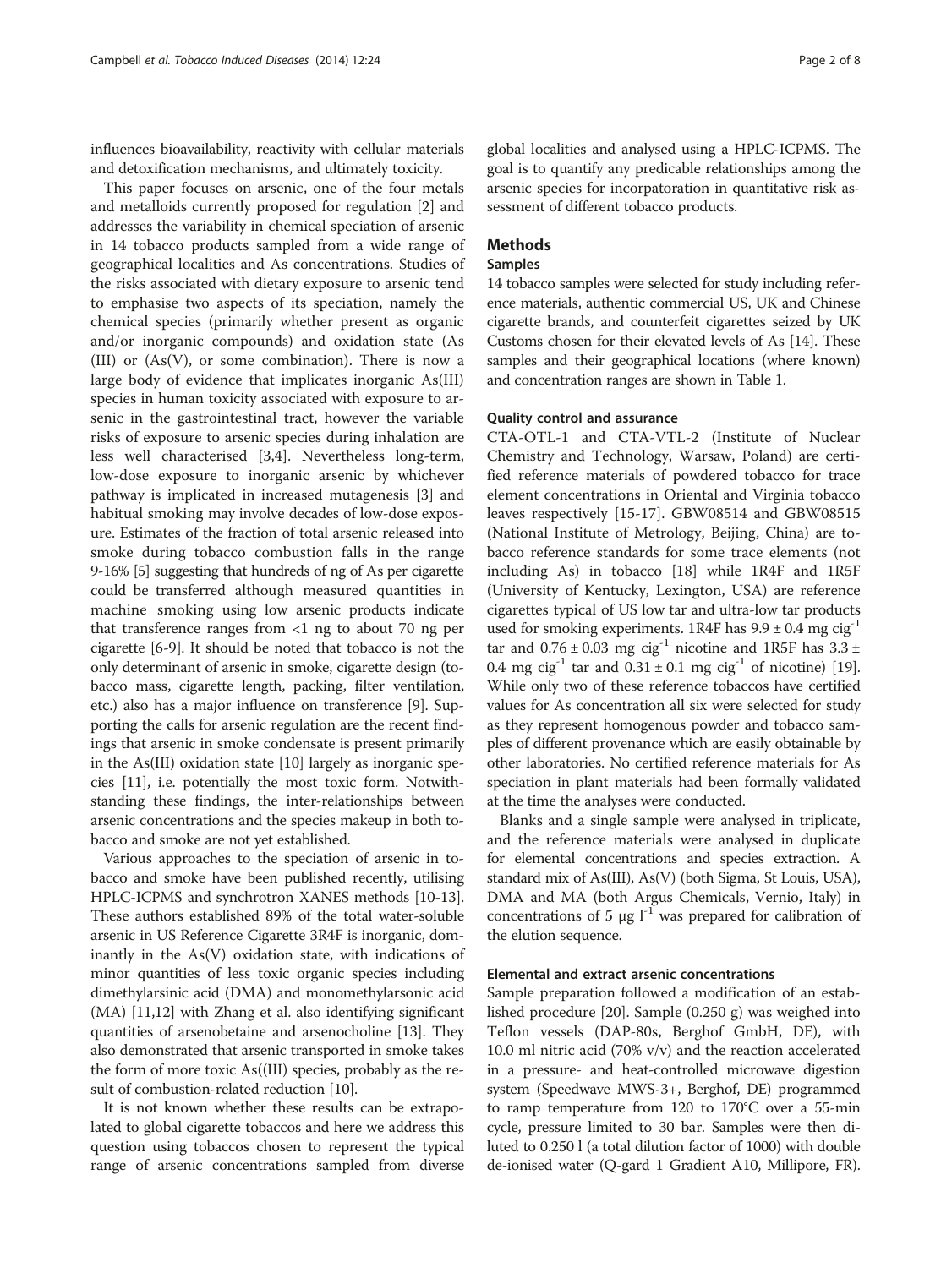influences bioavailability, reactivity with cellular materials and detoxification mechanisms, and ultimately toxicity.

This paper focuses on arsenic, one of the four metals and metalloids currently proposed for regulation [\[2](#page-6-0)] and addresses the variability in chemical speciation of arsenic in 14 tobacco products sampled from a wide range of geographical localities and As concentrations. Studies of the risks associated with dietary exposure to arsenic tend to emphasise two aspects of its speciation, namely the chemical species (primarily whether present as organic and/or inorganic compounds) and oxidation state (As (III) or  $(As(V))$ , or some combination). There is now a large body of evidence that implicates inorganic As(III) species in human toxicity associated with exposure to arsenic in the gastrointestinal tract, however the variable risks of exposure to arsenic species during inhalation are less well characterised [[3,4\]](#page-6-0). Nevertheless long-term, low-dose exposure to inorganic arsenic by whichever pathway is implicated in increased mutagenesis [\[3](#page-6-0)] and habitual smoking may involve decades of low-dose exposure. Estimates of the fraction of total arsenic released into smoke during tobacco combustion falls in the range 9-16% [\[5\]](#page-6-0) suggesting that hundreds of ng of As per cigarette could be transferred although measured quantities in machine smoking using low arsenic products indicate that transference ranges from  $\langle 1 \rangle$  ng to about 70 ng per cigarette [\[6](#page-6-0)-[9](#page-6-0)]. It should be noted that tobacco is not the only determinant of arsenic in smoke, cigarette design (tobacco mass, cigarette length, packing, filter ventilation, etc.) also has a major influence on transference [\[9\]](#page-6-0). Supporting the calls for arsenic regulation are the recent findings that arsenic in smoke condensate is present primarily in the As(III) oxidation state [[10](#page-6-0)] largely as inorganic species [\[11\]](#page-6-0), i.e. potentially the most toxic form. Notwithstanding these findings, the inter-relationships between arsenic concentrations and the species makeup in both tobacco and smoke are not yet established.

Various approaches to the speciation of arsenic in tobacco and smoke have been published recently, utilising HPLC-ICPMS and synchrotron XANES methods [[10](#page-6-0)-[13](#page-6-0)]. These authors established 89% of the total water-soluble arsenic in US Reference Cigarette 3R4F is inorganic, dominantly in the As(V) oxidation state, with indications of minor quantities of less toxic organic species including dimethylarsinic acid (DMA) and monomethylarsonic acid (MA) [\[11,12\]](#page-6-0) with Zhang et al. also identifying significant quantities of arsenobetaine and arsenocholine [[13](#page-6-0)]. They also demonstrated that arsenic transported in smoke takes the form of more toxic As((III) species, probably as the result of combustion-related reduction [\[10\]](#page-6-0).

It is not known whether these results can be extrapolated to global cigarette tobaccos and here we address this question using tobaccos chosen to represent the typical range of arsenic concentrations sampled from diverse

global localities and analysed using a HPLC-ICPMS. The goal is to quantify any predicable relationships among the arsenic species for incorpatoration in quantitative risk assessment of different tobacco products.

## Methods

## Samples

14 tobacco samples were selected for study including reference materials, authentic commercial US, UK and Chinese cigarette brands, and counterfeit cigarettes seized by UK Customs chosen for their elevated levels of As [\[14\]](#page-6-0). These samples and their geographical locations (where known) and concentration ranges are shown in Table [1.](#page-2-0)

## Quality control and assurance

CTA-OTL-1 and CTA-VTL-2 (Institute of Nuclear Chemistry and Technology, Warsaw, Poland) are certified reference materials of powdered tobacco for trace element concentrations in Oriental and Virginia tobacco leaves respectively [[15](#page-6-0)-[17\]](#page-6-0). GBW08514 and GBW08515 (National Institute of Metrology, Beijing, China) are tobacco reference standards for some trace elements (not including As) in tobacco [\[18](#page-6-0)] while 1R4F and 1R5F (University of Kentucky, Lexington, USA) are reference cigarettes typical of US low tar and ultra-low tar products used for smoking experiments. 1R4F has  $9.9 \pm 0.4$  mg cig<sup>-1</sup> tar and  $0.76 \pm 0.03$  mg cig<sup>-1</sup> nicotine and 1R5F has  $3.3 \pm$ 0.4 mg cig<sup>-1</sup> tar and  $0.31 \pm 0.1$  mg cig<sup>-1</sup> of nicotine) [[19](#page-6-0)]. While only two of these reference tobaccos have certified values for As concentration all six were selected for study as they represent homogenous powder and tobacco samples of different provenance which are easily obtainable by other laboratories. No certified reference materials for As speciation in plant materials had been formally validated at the time the analyses were conducted.

Blanks and a single sample were analysed in triplicate, and the reference materials were analysed in duplicate for elemental concentrations and species extraction. A standard mix of As(III), As(V) (both Sigma, St Louis, USA), DMA and MA (both Argus Chemicals, Vernio, Italy) in concentrations of 5  $\mu$ g l<sup>-1</sup> was prepared for calibration of the elution sequence.

## Elemental and extract arsenic concentrations

Sample preparation followed a modification of an established procedure [[20\]](#page-7-0). Sample (0.250 g) was weighed into Teflon vessels (DAP-80s, Berghof GmbH, DE), with 10.0 ml nitric acid (70% v/v) and the reaction accelerated in a pressure- and heat-controlled microwave digestion system (Speedwave MWS-3+, Berghof, DE) programmed to ramp temperature from 120 to 170°C over a 55-min cycle, pressure limited to 30 bar. Samples were then diluted to 0.250 l (a total dilution factor of 1000) with double de-ionised water (Q-gard 1 Gradient A10, Millipore, FR).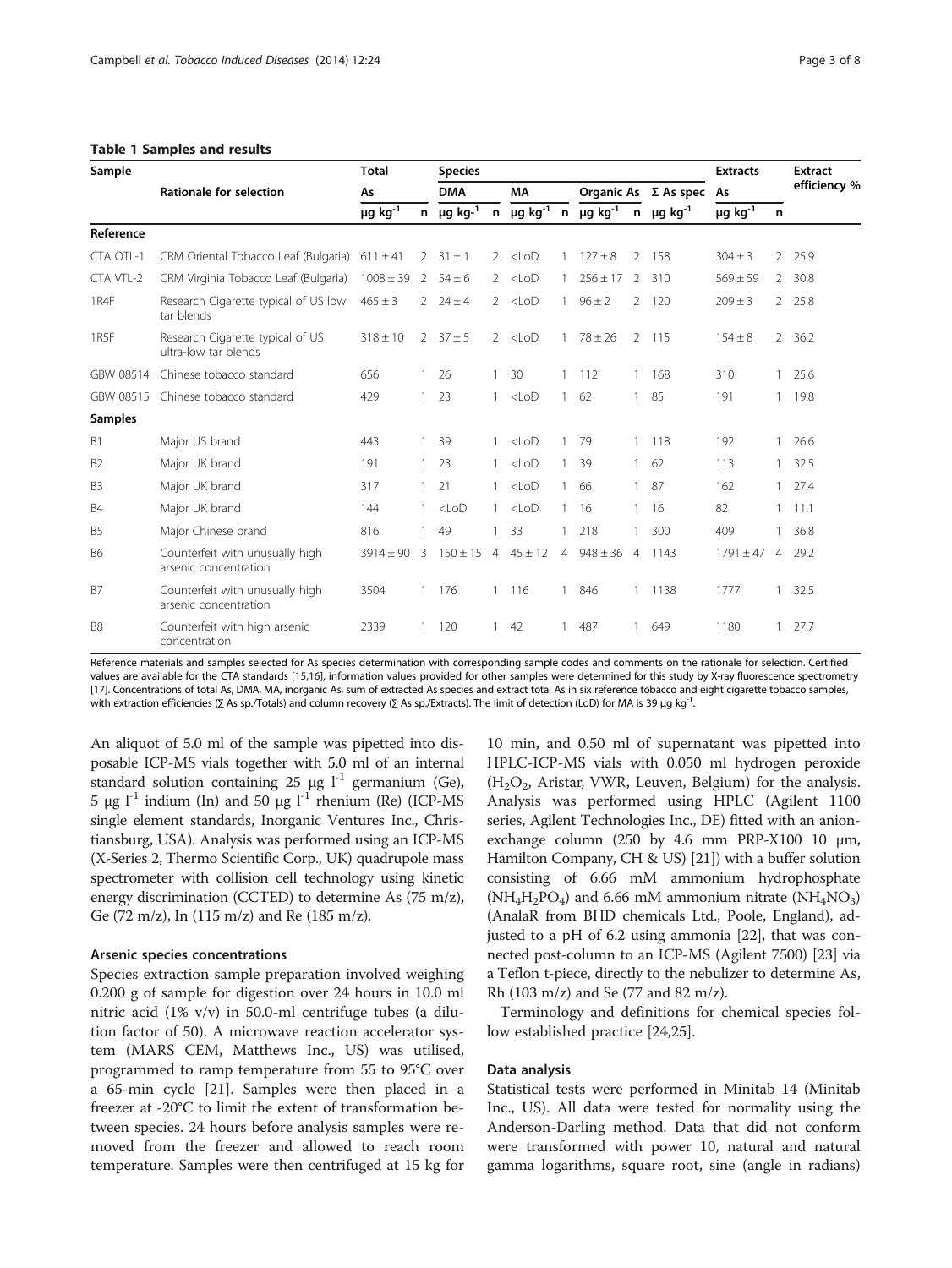<span id="page-2-0"></span>

| Sample         | <b>Rationale for selection</b>                           | <b>Total</b><br>As       |               | <b>Species</b>   |               |                                                                                                                                                                                                                 |                |                             |                |                   | <b>Extracts</b>    |                | <b>Extract</b> |
|----------------|----------------------------------------------------------|--------------------------|---------------|------------------|---------------|-----------------------------------------------------------------------------------------------------------------------------------------------------------------------------------------------------------------|----------------|-----------------------------|----------------|-------------------|--------------------|----------------|----------------|
|                |                                                          |                          |               | <b>DMA</b>       |               | ΜA                                                                                                                                                                                                              |                | Organic As $\Sigma$ As spec |                |                   | As                 |                | efficiency %   |
|                |                                                          | $\mu$ g kg <sup>-1</sup> | n.            | $\mu$ g kg- $^1$ | n             | $\mu$ g kg $^{-1}$                                                                                                                                                                                              |                | $n \mu g kg^{-1}$           |                | $n \mu g kg^{-1}$ | $\mu$ g kg $^{-1}$ | n              |                |
| Reference      |                                                          |                          |               |                  |               |                                                                                                                                                                                                                 |                |                             |                |                   |                    |                |                |
| CTA OTL-1      | CRM Oriental Tobacco Leaf (Bulgaria)                     | $611 \pm 41$             | 2             | $31 \pm 1$       | 2             | $<$ LoD                                                                                                                                                                                                         |                | $127 \pm 8$                 | $\mathcal{L}$  | 158               | $304 \pm 3$        | $\overline{2}$ | 25.9           |
| CTA VTL-2      | CRM Virginia Tobacco Leaf (Bulgaria)                     | $1008 \pm 39$            |               | 2 $54 \pm 6$     |               | $2 <$ LoD                                                                                                                                                                                                       | $\mathbf{1}$   | $256 \pm 17$                | 2              | 310               | $569 \pm 59$       | $\mathbf{2}$   | 30.8           |
| 1R4F           | Research Cigarette typical of US low<br>tar blends       | $465 \pm 3$              |               | 2 $24 \pm 4$     | $\mathcal{P}$ | $<$ LoD                                                                                                                                                                                                         | $\mathbf{1}$   | $96 \pm 2$                  | $\mathcal{P}$  | 120               | $209 \pm 3$        | $\mathcal{P}$  | 25.8           |
| 1R5F           | Research Cigarette typical of US<br>ultra-low tar blends | $318 \pm 10$             |               | 2 $37 \pm 5$     |               | $2$ <lod< td=""><td><math>\mathbf{1}</math></td><td><math>78 \pm 26</math></td><td><math>\mathcal{P}</math></td><td>115</td><td><math>154 \pm 8</math></td><td><math>\mathbf{2}</math></td><td>36.2</td></lod<> | $\mathbf{1}$   | $78 \pm 26$                 | $\mathcal{P}$  | 115               | $154 \pm 8$        | $\mathbf{2}$   | 36.2           |
| GBW 08514      | Chinese tobacco standard                                 | 656                      |               | 26               |               | 30                                                                                                                                                                                                              |                | 112                         | 1.             | 168               | 310                | 1              | 25.6           |
| GBW 08515      | Chinese tobacco standard                                 | 429                      |               | 23               | 1             | $<$ LoD                                                                                                                                                                                                         | $\mathbf{1}$   | 62                          | 1              | 85                | 191                |                | 19.8           |
| <b>Samples</b> |                                                          |                          |               |                  |               |                                                                                                                                                                                                                 |                |                             |                |                   |                    |                |                |
| B <sub>1</sub> | Major US brand                                           | 443                      |               | 39               |               | $<$ LoD                                                                                                                                                                                                         | $\mathbf{1}$   | -79                         | $\mathbf{1}$   | 118               | 192                |                | 26.6           |
| B <sub>2</sub> | Major UK brand                                           | 191                      | 1             | 23               | 1             | $<$ LoD                                                                                                                                                                                                         | $\mathbf{1}$   | 39                          | $\mathbf{1}$   | 62                | 113                | 1              | 32.5           |
| B <sub>3</sub> | Major UK brand                                           | 317                      |               | 21               |               | $<$ LoD                                                                                                                                                                                                         | $\mathbf{1}$   | 66                          | $\mathbf{1}$   | 87                | 162                |                | 27.4           |
| <b>B4</b>      | Major UK brand                                           | 144                      |               | $<$ LoD          |               | $<$ LoD                                                                                                                                                                                                         |                | 1 16                        | 1.             | 16                | 82                 |                | 11.1           |
| B <sub>5</sub> | Major Chinese brand                                      | 816                      |               | 49               |               | 33                                                                                                                                                                                                              |                | 218                         | 1.             | 300               | 409                |                | 36.8           |
| <b>B6</b>      | Counterfeit with unusually high<br>arsenic concentration | $3914 \pm 90$            | $\mathcal{S}$ | $150 \pm 15$     | 4             | $45 \pm 12$                                                                                                                                                                                                     | $\overline{4}$ | $948 + 36$                  | $\overline{4}$ | 1143              | $1791 \pm 47$      | $\overline{4}$ | 29.2           |
| <b>B7</b>      | Counterfeit with unusually high<br>arsenic concentration | 3504                     |               | 176              | 1             | 116                                                                                                                                                                                                             | $\mathbf{1}$   | 846                         |                | 1138              | 1777               |                | 32.5           |
| B <sub>8</sub> | Counterfeit with high arsenic<br>concentration           | 2339                     |               | 120              |               | 42                                                                                                                                                                                                              |                | 487                         | 1.             | 649               | 1180               |                | 27.7           |

Reference materials and samples selected for As species determination with corresponding sample codes and comments on the rationale for selection. Certified values are available for the CTA standards [[15,16](#page-6-0)], information values provided for other samples were determined for this study by X-ray fluorescence spectrometry [[17\]](#page-6-0). Concentrations of total As, DMA, MA, inorganic As, sum of extracted As species and extract total As in six reference tobacco and eight cigarette tobacco samples, with extraction efficiencies (Σ As sp./Totals) and column recovery (Σ As sp./Extracts). The limit of detection (LoD) for MA is 39 μg kg<sup>-1</sup>.

An aliquot of 5.0 ml of the sample was pipetted into disposable ICP-MS vials together with 5.0 ml of an internal standard solution containing 25 μg  $l^{-1}$  germanium (Ge), 5 μg  $l^{-1}$  indium (In) and 50 μg  $l^{-1}$  rhenium (Re) (ICP-MS single element standards, Inorganic Ventures Inc., Christiansburg, USA). Analysis was performed using an ICP-MS (X-Series 2, Thermo Scientific Corp., UK) quadrupole mass spectrometer with collision cell technology using kinetic energy discrimination (CCTED) to determine As (75 m/z), Ge (72 m/z), In (115 m/z) and Re (185 m/z).

## Arsenic species concentrations

Species extraction sample preparation involved weighing 0.200 g of sample for digestion over 24 hours in 10.0 ml nitric acid (1% v/v) in 50.0-ml centrifuge tubes (a dilution factor of 50). A microwave reaction accelerator system (MARS CEM, Matthews Inc., US) was utilised, programmed to ramp temperature from 55 to 95°C over a 65-min cycle [\[21\]](#page-7-0). Samples were then placed in a freezer at -20°C to limit the extent of transformation between species. 24 hours before analysis samples were removed from the freezer and allowed to reach room temperature. Samples were then centrifuged at 15 kg for

10 min, and 0.50 ml of supernatant was pipetted into HPLC-ICP-MS vials with 0.050 ml hydrogen peroxide  $(H<sub>2</sub>O<sub>2</sub>$ , Aristar, VWR, Leuven, Belgium) for the analysis. Analysis was performed using HPLC (Agilent 1100 series, Agilent Technologies Inc., DE) fitted with an anionexchange column (250 by 4.6 mm PRP-X100 10  $\mu$ m, Hamilton Company, CH & US) [\[21\]](#page-7-0)) with a buffer solution consisting of 6.66 mM ammonium hydrophosphate  $(NH_4H_2PO_4)$  and 6.66 mM ammonium nitrate  $(NH_4NO_3)$ (AnalaR from BHD chemicals Ltd., Poole, England), adjusted to a pH of 6.2 using ammonia [\[22\]](#page-7-0), that was connected post-column to an ICP-MS (Agilent 7500) [\[23](#page-7-0)] via a Teflon t-piece, directly to the nebulizer to determine As, Rh (103 m/z) and Se (77 and 82 m/z).

Terminology and definitions for chemical species follow established practice [\[24,25\]](#page-7-0).

## Data analysis

Statistical tests were performed in Minitab 14 (Minitab Inc., US). All data were tested for normality using the Anderson-Darling method. Data that did not conform were transformed with power 10, natural and natural gamma logarithms, square root, sine (angle in radians)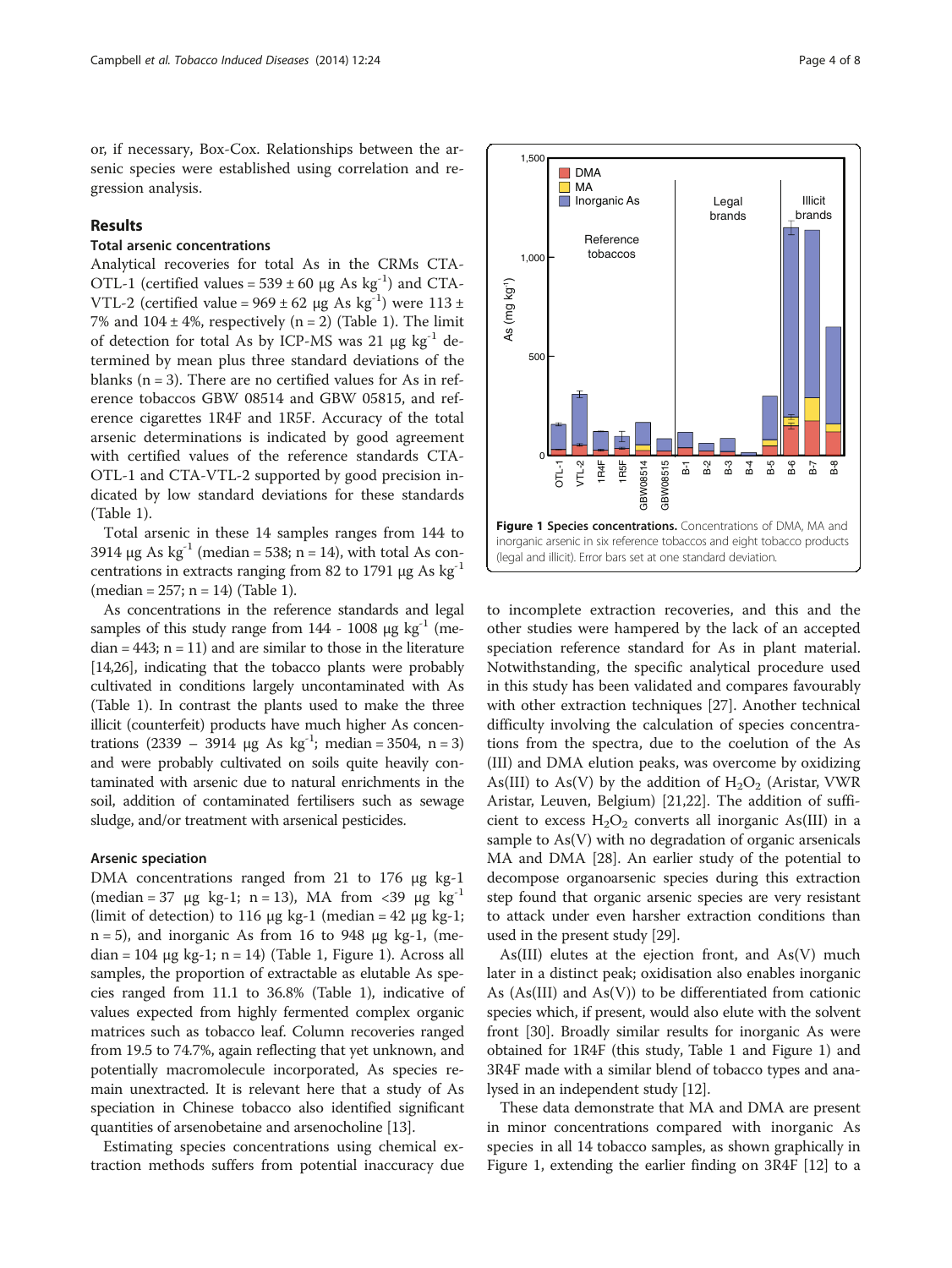<span id="page-3-0"></span>or, if necessary, Box-Cox. Relationships between the arsenic species were established using correlation and regression analysis.

## Results

## Total arsenic concentrations

Analytical recoveries for total As in the CRMs CTA-OTL-1 (certified values =  $539 \pm 60 \mu g$  As kg<sup>-1</sup>) and CTA-VTL-2 (certified value =  $969 \pm 62 \mu$ g As kg<sup>-1</sup>) were 113 ± 7% and  $104 \pm 4$ %, respectively (n = 2) (Table [1\)](#page-2-0). The limit of detection for total As by ICP-MS was 21  $\mu$ g kg<sup>-1</sup> determined by mean plus three standard deviations of the blanks  $(n = 3)$ . There are no certified values for As in reference tobaccos GBW 08514 and GBW 05815, and reference cigarettes 1R4F and 1R5F. Accuracy of the total arsenic determinations is indicated by good agreement with certified values of the reference standards CTA-OTL-1 and CTA-VTL-2 supported by good precision indicated by low standard deviations for these standards (Table [1\)](#page-2-0).

Total arsenic in these 14 samples ranges from 144 to 3914 μg As kg<sup>-1</sup> (median = 538; n = 14), with total As concentrations in extracts ranging from 82 to 1791  $\mu$ g As kg<sup>-1</sup>  $(median = 257; n = 14)$  (Table [1\)](#page-2-0).

As concentrations in the reference standards and legal samples of this study range from 144 - 1008  $\mu$ g kg<sup>-1</sup> (me $dian = 443; n = 11$ ) and are similar to those in the literature [[14](#page-6-0)[,26\]](#page-7-0), indicating that the tobacco plants were probably cultivated in conditions largely uncontaminated with As (Table [1](#page-2-0)). In contrast the plants used to make the three illicit (counterfeit) products have much higher As concentrations (2339 – 3914 μg As kg<sup>-1</sup>; median = 3504, n = 3) and were probably cultivated on soils quite heavily contaminated with arsenic due to natural enrichments in the soil, addition of contaminated fertilisers such as sewage sludge, and/or treatment with arsenical pesticides.

## Arsenic speciation

DMA concentrations ranged from 21 to 176 μg kg-1 (median = 37 μg kg-1; n = 13), MA from <39 μg kg<sup>-1</sup> (limit of detection) to 116  $\mu$ g kg-1 (median = 42  $\mu$ g kg-1;  $n = 5$ ), and inorganic As from 16 to 948 μg kg-1, (me-dian = 104 μg kg-1; n = 14) (Table [1,](#page-2-0) Figure 1). Across all samples, the proportion of extractable as elutable As species ranged from 11.1 to 36.8% (Table [1\)](#page-2-0), indicative of values expected from highly fermented complex organic matrices such as tobacco leaf. Column recoveries ranged from 19.5 to 74.7%, again reflecting that yet unknown, and potentially macromolecule incorporated, As species remain unextracted. It is relevant here that a study of As speciation in Chinese tobacco also identified significant quantities of arsenobetaine and arsenocholine [\[13\]](#page-6-0).

Estimating species concentrations using chemical extraction methods suffers from potential inaccuracy due



to incomplete extraction recoveries, and this and the other studies were hampered by the lack of an accepted speciation reference standard for As in plant material. Notwithstanding, the specific analytical procedure used in this study has been validated and compares favourably with other extraction techniques [[27\]](#page-7-0). Another technical difficulty involving the calculation of species concentrations from the spectra, due to the coelution of the As (III) and DMA elution peaks, was overcome by oxidizing As(III) to As(V) by the addition of  $H_2O_2$  (Aristar, VWR Aristar, Leuven, Belgium) [\[21,22](#page-7-0)]. The addition of sufficient to excess  $H_2O_2$  converts all inorganic As(III) in a sample to As(V) with no degradation of organic arsenicals MA and DMA [[28](#page-7-0)]. An earlier study of the potential to decompose organoarsenic species during this extraction step found that organic arsenic species are very resistant to attack under even harsher extraction conditions than used in the present study [[29](#page-7-0)]. Figure 1, Special constraines and this signal of  $\frac{1}{62}$  is  $\frac{1}{62}$  in  $\frac{1}{62}$  is  $\frac{1}{62}$  in  $\frac{1}{62}$  in  $\frac{1}{62}$  in  $\frac{1}{62}$  in  $\frac{1}{62}$  in  $\frac{1}{62}$  in  $\frac{1}{62}$  in  $\frac{1}{62}$  in  $\frac{1}{62}$  in  $\frac{$ 

As(III) elutes at the ejection front, and  $As(V)$  much later in a distinct peak; oxidisation also enables inorganic As  $(As(III)$  and  $As(V))$  to be differentiated from cationic species which, if present, would also elute with the solvent front [[30](#page-7-0)]. Broadly similar results for inorganic As were obtained for 1R4F (this study, Table [1](#page-2-0) and Figure 1) and 3R4F made with a similar blend of tobacco types and analysed in an independent study [[12](#page-6-0)].

These data demonstrate that MA and DMA are present in minor concentrations compared with inorganic As species in all 14 tobacco samples, as shown graphically in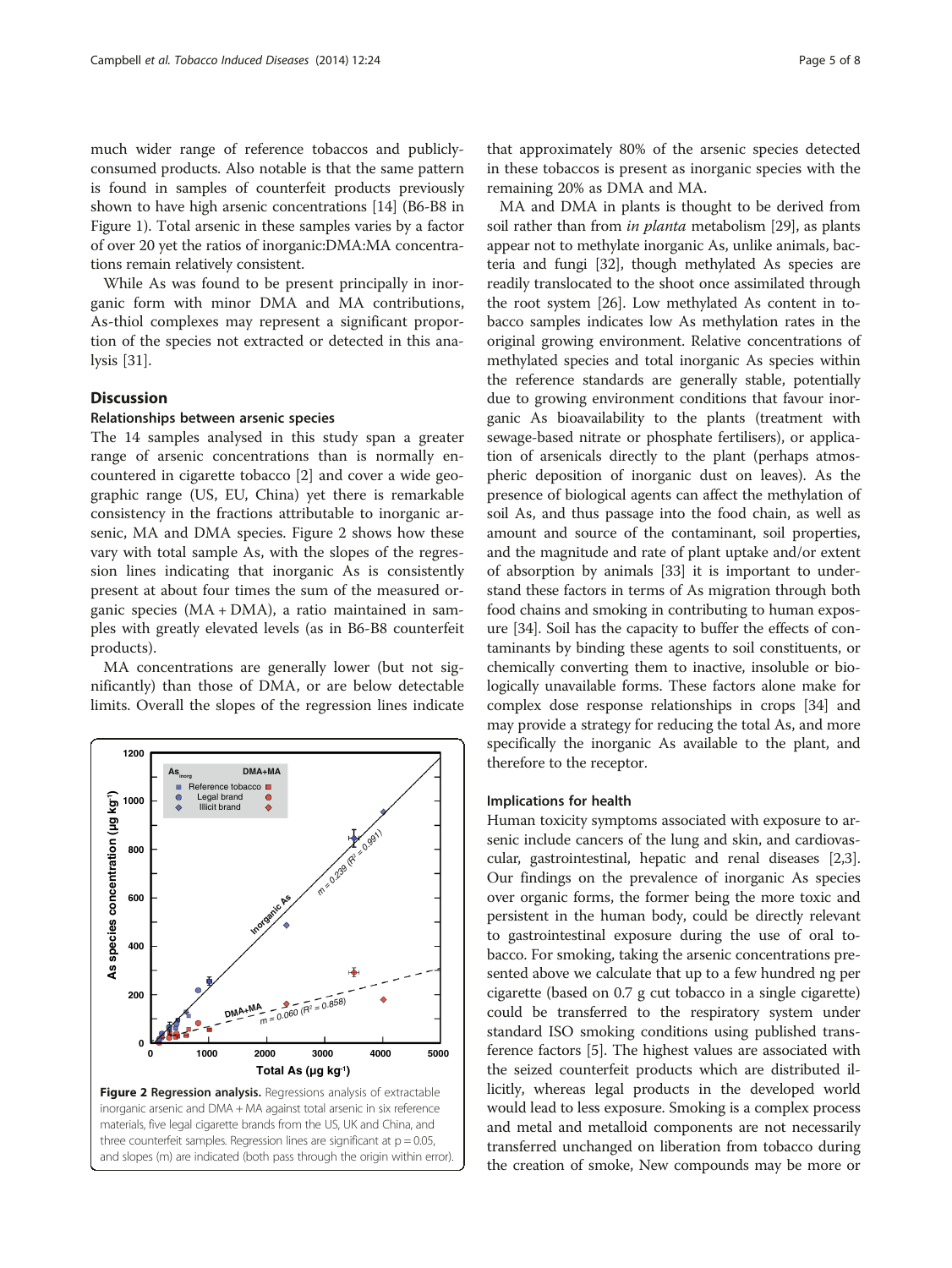much wider range of reference tobaccos and publiclyconsumed products. Also notable is that the same pattern is found in samples of counterfeit products previously shown to have high arsenic concentrations [[14\]](#page-6-0) (B6-B8 in Figure [1\)](#page-3-0). Total arsenic in these samples varies by a factor of over 20 yet the ratios of inorganic:DMA:MA concentrations remain relatively consistent.

While As was found to be present principally in inorganic form with minor DMA and MA contributions, As-thiol complexes may represent a significant proportion of the species not extracted or detected in this analysis [[31\]](#page-7-0).

## Discussion

## Relationships between arsenic species

The 14 samples analysed in this study span a greater range of arsenic concentrations than is normally encountered in cigarette tobacco [\[2](#page-6-0)] and cover a wide geographic range (US, EU, China) yet there is remarkable consistency in the fractions attributable to inorganic arsenic, MA and DMA species. Figure 2 shows how these vary with total sample As, with the slopes of the regression lines indicating that inorganic As is consistently present at about four times the sum of the measured organic species (MA + DMA), a ratio maintained in samples with greatly elevated levels (as in B6-B8 counterfeit products).

MA concentrations are generally lower (but not significantly) than those of DMA, or are below detectable limits. Overall the slopes of the regression lines indicate



and slopes (m) are indicated (both pass through the origin within error).

that approximately 80% of the arsenic species detected in these tobaccos is present as inorganic species with the remaining 20% as DMA and MA.

MA and DMA in plants is thought to be derived from soil rather than from *in planta* metabolism [\[29\]](#page-7-0), as plants appear not to methylate inorganic As, unlike animals, bacteria and fungi [[32](#page-7-0)], though methylated As species are readily translocated to the shoot once assimilated through the root system [[26](#page-7-0)]. Low methylated As content in tobacco samples indicates low As methylation rates in the original growing environment. Relative concentrations of methylated species and total inorganic As species within the reference standards are generally stable, potentially due to growing environment conditions that favour inorganic As bioavailability to the plants (treatment with sewage-based nitrate or phosphate fertilisers), or application of arsenicals directly to the plant (perhaps atmospheric deposition of inorganic dust on leaves). As the presence of biological agents can affect the methylation of soil As, and thus passage into the food chain, as well as amount and source of the contaminant, soil properties, and the magnitude and rate of plant uptake and/or extent of absorption by animals [\[33\]](#page-7-0) it is important to understand these factors in terms of As migration through both food chains and smoking in contributing to human exposure [\[34\]](#page-7-0). Soil has the capacity to buffer the effects of contaminants by binding these agents to soil constituents, or chemically converting them to inactive, insoluble or biologically unavailable forms. These factors alone make for complex dose response relationships in crops [[34\]](#page-7-0) and may provide a strategy for reducing the total As, and more specifically the inorganic As available to the plant, and therefore to the receptor.

### Implications for health

Human toxicity symptoms associated with exposure to arsenic include cancers of the lung and skin, and cardiovascular, gastrointestinal, hepatic and renal diseases [[2](#page-6-0),[3](#page-6-0)]. Our findings on the prevalence of inorganic As species over organic forms, the former being the more toxic and persistent in the human body, could be directly relevant to gastrointestinal exposure during the use of oral tobacco. For smoking, taking the arsenic concentrations presented above we calculate that up to a few hundred ng per cigarette (based on 0.7 g cut tobacco in a single cigarette) could be transferred to the respiratory system under standard ISO smoking conditions using published transference factors [\[5\]](#page-6-0). The highest values are associated with the seized counterfeit products which are distributed illicitly, whereas legal products in the developed world would lead to less exposure. Smoking is a complex process and metal and metalloid components are not necessarily transferred unchanged on liberation from tobacco during the creation of smoke, New compounds may be more or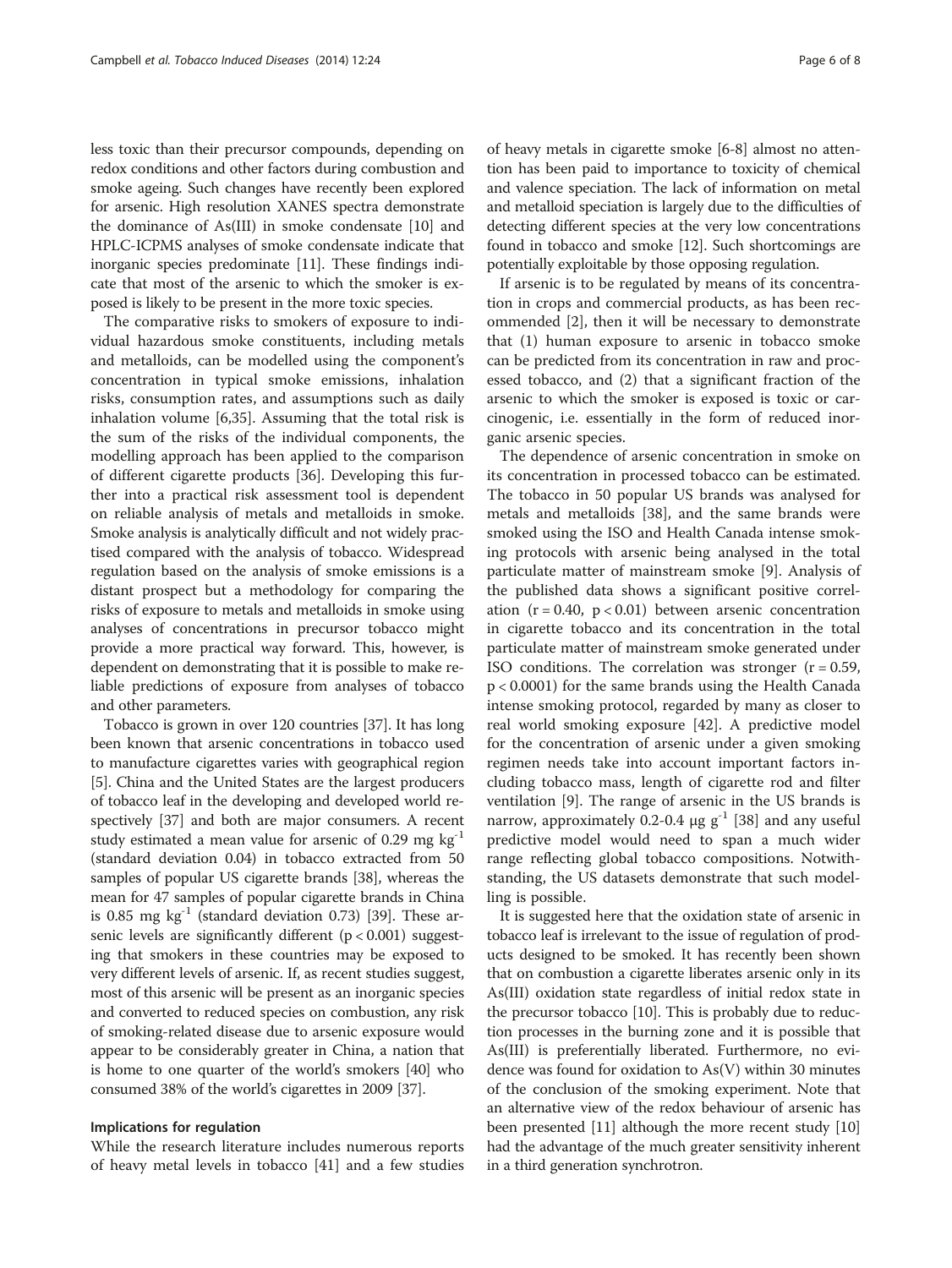less toxic than their precursor compounds, depending on redox conditions and other factors during combustion and smoke ageing. Such changes have recently been explored for arsenic. High resolution XANES spectra demonstrate the dominance of As(III) in smoke condensate [[10](#page-6-0)] and HPLC-ICPMS analyses of smoke condensate indicate that inorganic species predominate [[11](#page-6-0)]. These findings indicate that most of the arsenic to which the smoker is exposed is likely to be present in the more toxic species.

The comparative risks to smokers of exposure to individual hazardous smoke constituents, including metals and metalloids, can be modelled using the component's concentration in typical smoke emissions, inhalation risks, consumption rates, and assumptions such as daily inhalation volume [[6,](#page-6-0)[35\]](#page-7-0). Assuming that the total risk is the sum of the risks of the individual components, the modelling approach has been applied to the comparison of different cigarette products [\[36\]](#page-7-0). Developing this further into a practical risk assessment tool is dependent on reliable analysis of metals and metalloids in smoke. Smoke analysis is analytically difficult and not widely practised compared with the analysis of tobacco. Widespread regulation based on the analysis of smoke emissions is a distant prospect but a methodology for comparing the risks of exposure to metals and metalloids in smoke using analyses of concentrations in precursor tobacco might provide a more practical way forward. This, however, is dependent on demonstrating that it is possible to make reliable predictions of exposure from analyses of tobacco and other parameters.

Tobacco is grown in over 120 countries [\[37\]](#page-7-0). It has long been known that arsenic concentrations in tobacco used to manufacture cigarettes varies with geographical region [[5\]](#page-6-0). China and the United States are the largest producers of tobacco leaf in the developing and developed world respectively [[37](#page-7-0)] and both are major consumers. A recent study estimated a mean value for arsenic of 0.29 mg kg-1 (standard deviation 0.04) in tobacco extracted from 50 samples of popular US cigarette brands [[38\]](#page-7-0), whereas the mean for 47 samples of popular cigarette brands in China is 0.85 mg  $kg^{-1}$  (standard deviation 0.73) [[39](#page-7-0)]. These arsenic levels are significantly different  $(p < 0.001)$  suggesting that smokers in these countries may be exposed to very different levels of arsenic. If, as recent studies suggest, most of this arsenic will be present as an inorganic species and converted to reduced species on combustion, any risk of smoking-related disease due to arsenic exposure would appear to be considerably greater in China, a nation that is home to one quarter of the world's smokers [[40\]](#page-7-0) who consumed 38% of the world's cigarettes in 2009 [[37](#page-7-0)].

## Implications for regulation

While the research literature includes numerous reports of heavy metal levels in tobacco [[41\]](#page-7-0) and a few studies

of heavy metals in cigarette smoke [[6-8\]](#page-6-0) almost no attention has been paid to importance to toxicity of chemical and valence speciation. The lack of information on metal and metalloid speciation is largely due to the difficulties of detecting different species at the very low concentrations found in tobacco and smoke [[12](#page-6-0)]. Such shortcomings are potentially exploitable by those opposing regulation.

If arsenic is to be regulated by means of its concentration in crops and commercial products, as has been recommended [[2](#page-6-0)], then it will be necessary to demonstrate that (1) human exposure to arsenic in tobacco smoke can be predicted from its concentration in raw and processed tobacco, and (2) that a significant fraction of the arsenic to which the smoker is exposed is toxic or carcinogenic, i.e. essentially in the form of reduced inorganic arsenic species.

The dependence of arsenic concentration in smoke on its concentration in processed tobacco can be estimated. The tobacco in 50 popular US brands was analysed for metals and metalloids [[38\]](#page-7-0), and the same brands were smoked using the ISO and Health Canada intense smoking protocols with arsenic being analysed in the total particulate matter of mainstream smoke [\[9](#page-6-0)]. Analysis of the published data shows a significant positive correlation ( $r = 0.40$ ,  $p < 0.01$ ) between arsenic concentration in cigarette tobacco and its concentration in the total particulate matter of mainstream smoke generated under ISO conditions. The correlation was stronger  $(r = 0.59,$ p < 0.0001) for the same brands using the Health Canada intense smoking protocol, regarded by many as closer to real world smoking exposure [[42\]](#page-7-0). A predictive model for the concentration of arsenic under a given smoking regimen needs take into account important factors including tobacco mass, length of cigarette rod and filter ventilation [[9\]](#page-6-0). The range of arsenic in the US brands is narrow, approximately 0.2-0.4  $\mu$ g g<sup>-1</sup> [\[38](#page-7-0)] and any useful predictive model would need to span a much wider range reflecting global tobacco compositions. Notwithstanding, the US datasets demonstrate that such modelling is possible.

It is suggested here that the oxidation state of arsenic in tobacco leaf is irrelevant to the issue of regulation of products designed to be smoked. It has recently been shown that on combustion a cigarette liberates arsenic only in its As(III) oxidation state regardless of initial redox state in the precursor tobacco [[10](#page-6-0)]. This is probably due to reduction processes in the burning zone and it is possible that As(III) is preferentially liberated. Furthermore, no evidence was found for oxidation to  $As(V)$  within 30 minutes of the conclusion of the smoking experiment. Note that an alternative view of the redox behaviour of arsenic has been presented [[11\]](#page-6-0) although the more recent study [[10](#page-6-0)] had the advantage of the much greater sensitivity inherent in a third generation synchrotron.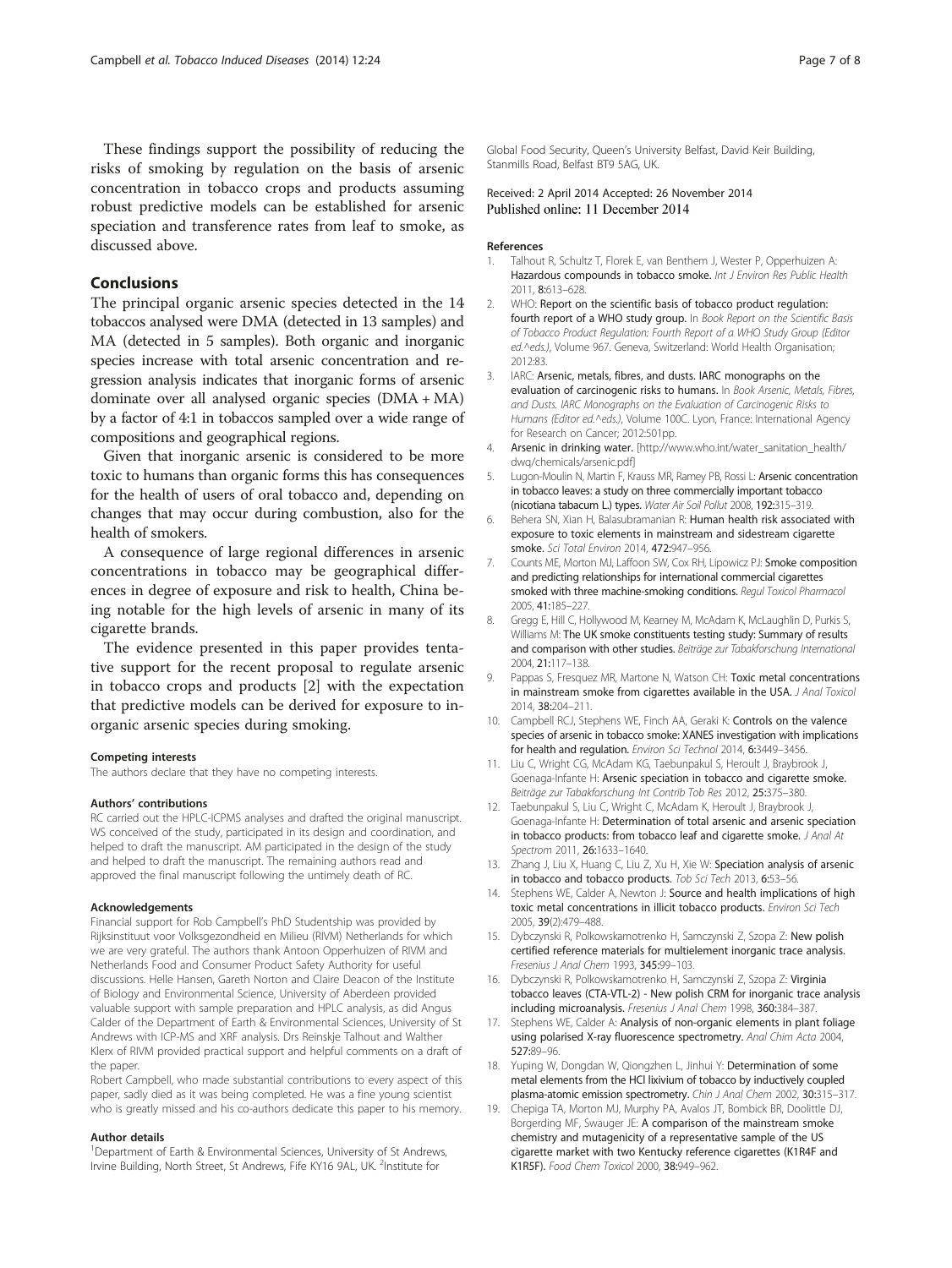<span id="page-6-0"></span>These findings support the possibility of reducing the risks of smoking by regulation on the basis of arsenic concentration in tobacco crops and products assuming robust predictive models can be established for arsenic speciation and transference rates from leaf to smoke, as discussed above.

## Conclusions

The principal organic arsenic species detected in the 14 tobaccos analysed were DMA (detected in 13 samples) and MA (detected in 5 samples). Both organic and inorganic species increase with total arsenic concentration and regression analysis indicates that inorganic forms of arsenic dominate over all analysed organic species (DMA + MA) by a factor of 4:1 in tobaccos sampled over a wide range of compositions and geographical regions.

Given that inorganic arsenic is considered to be more toxic to humans than organic forms this has consequences for the health of users of oral tobacco and, depending on changes that may occur during combustion, also for the health of smokers.

A consequence of large regional differences in arsenic concentrations in tobacco may be geographical differences in degree of exposure and risk to health, China being notable for the high levels of arsenic in many of its cigarette brands.

The evidence presented in this paper provides tentative support for the recent proposal to regulate arsenic in tobacco crops and products [2] with the expectation that predictive models can be derived for exposure to inorganic arsenic species during smoking.

#### Competing interests

The authors declare that they have no competing interests.

#### Authors' contributions

RC carried out the HPLC-ICPMS analyses and drafted the original manuscript. WS conceived of the study, participated in its design and coordination, and helped to draft the manuscript. AM participated in the design of the study and helped to draft the manuscript. The remaining authors read and approved the final manuscript following the untimely death of RC.

#### Acknowledgements

Financial support for Rob Campbell's PhD Studentship was provided by Rijksinstituut voor Volksgezondheid en Milieu (RIVM) Netherlands for which we are very grateful. The authors thank Antoon Opperhuizen of RIVM and Netherlands Food and Consumer Product Safety Authority for useful discussions. Helle Hansen, Gareth Norton and Claire Deacon of the Institute of Biology and Environmental Science, University of Aberdeen provided valuable support with sample preparation and HPLC analysis, as did Angus Calder of the Department of Earth & Environmental Sciences, University of St Andrews with ICP-MS and XRF analysis. Drs Reinskje Talhout and Walther Klerx of RIVM provided practical support and helpful comments on a draft of the paper.

Robert Campbell, who made substantial contributions to every aspect of this paper, sadly died as it was being completed. He was a fine young scientist who is greatly missed and his co-authors dedicate this paper to his memory.

#### Author details

<sup>1</sup>Department of Earth & Environmental Sciences, University of St Andrews, Irvine Building, North Street, St Andrews, Fife KY16 9AL, UK. <sup>2</sup>Institute for

Global Food Security, Queen's University Belfast, David Keir Building, Stanmills Road, Belfast BT9 5AG, UK.

### Received: 2 April 2014 Accepted: 26 November 2014 Published online: 11 December 2014

#### References

- Talhout R, Schultz T, Florek E, van Benthem J, Wester P, Opperhuizen A: Hazardous compounds in tobacco smoke. Int J Environ Res Public Health 2011, 8:613–628.
- 2. WHO: Report on the scientific basis of tobacco product regulation: fourth report of a WHO study group. In Book Report on the Scientific Basis of Tobacco Product Regulation: Fourth Report of a WHO Study Group (Editor ed.^eds.), Volume 967. Geneva, Switzerland: World Health Organisation; 2012:83.
- 3. IARC: Arsenic, metals, fibres, and dusts. IARC monographs on the evaluation of carcinogenic risks to humans. In Book Arsenic, Metals, Fibres, and Dusts. IARC Monographs on the Evaluation of Carcinogenic Risks to Humans (Editor ed.^eds.), Volume 100C. Lyon, France: International Agency for Research on Cancer; 2012:501pp.
- 4. Arsenic in drinking water. [\[http://www.who.int/water\\_sanitation\\_health/](http://www.who.int/water_sanitation_health/dwq/chemicals/arsenic.pdf) [dwq/chemicals/arsenic.pdf\]](http://www.who.int/water_sanitation_health/dwq/chemicals/arsenic.pdf)
- 5. Lugon-Moulin N, Martin F, Krauss MR, Ramey PB, Rossi L: Arsenic concentration in tobacco leaves: a study on three commercially important tobacco (nicotiana tabacum L.) types. Water Air Soil Pollut 2008, 192:315–319.
- 6. Behera SN, Xian H, Balasubramanian R: Human health risk associated with exposure to toxic elements in mainstream and sidestream cigarette smoke. Sci Total Environ 2014, 472:947–956.
- 7. Counts ME, Morton MJ, Laffoon SW, Cox RH, Lipowicz PJ: Smoke composition and predicting relationships for international commercial cigarettes smoked with three machine-smoking conditions. Regul Toxicol Pharmacol 2005, 41:185–227.
- 8. Gregg E, Hill C, Hollywood M, Kearney M, McAdam K, McLaughlin D, Purkis S, Williams M: The UK smoke constituents testing study: Summary of results and comparison with other studies. Beiträge zur Tabakforschung International 2004, 21:117–138.
- 9. Pappas S, Fresquez MR, Martone N, Watson CH: Toxic metal concentrations in mainstream smoke from cigarettes available in the USA. J Anal Toxicol 2014, 38:204–211.
- 10. Campbell RCJ, Stephens WE, Finch AA, Geraki K: Controls on the valence species of arsenic in tobacco smoke: XANES investigation with implications for health and regulation. Environ Sci Technol 2014, 6:3449–3456.
- 11. Liu C, Wright CG, McAdam KG, Taebunpakul S, Heroult J, Braybrook J, Goenaga-Infante H: Arsenic speciation in tobacco and cigarette smoke. Beiträge zur Tabakforschung Int Contrib Tob Res 2012, 25:375–380.
- 12. Taebunpakul S, Liu C, Wright C, McAdam K, Heroult J, Braybrook J, Goenaga-Infante H: Determination of total arsenic and arsenic speciation in tobacco products: from tobacco leaf and cigarette smoke. J Anal At Spectrom 2011, 26:1633–1640.
- 13. Zhang J, Liu X, Huang C, Liu Z, Xu H, Xie W: Speciation analysis of arsenic in tobacco and tobacco products. Tob Sci Tech 2013, 6:53–56.
- 14. Stephens WE, Calder A, Newton J: **Source and health implications of high** toxic metal concentrations in illicit tobacco products. Environ Sci Tech 2005, 39(2):479–488.
- 15. Dybczynski R, Polkowskamotrenko H, Samczynski Z, Szopa Z: New polish certified reference materials for multielement inorganic trace analysis. Fresenius J Anal Chem 1993, 345:99–103.
- 16. Dybczynski R, Polkowskamotrenko H, Samczynski Z, Szopa Z: Virginia tobacco leaves (CTA-VTL-2) - New polish CRM for inorganic trace analysis including microanalysis. Fresenius J Anal Chem 1998, 360:384–387.
- 17. Stephens WE, Calder A: Analysis of non-organic elements in plant foliage using polarised X-ray fluorescence spectrometry. Anal Chim Acta 2004, 527:89–96.
- 18. Yuping W, Dongdan W, Qiongzhen L, Jinhui Y: Determination of some metal elements from the HCl lixivium of tobacco by inductively coupled plasma-atomic emission spectrometry. Chin J Anal Chem 2002, 30:315-317.
- 19. Chepiga TA, Morton MJ, Murphy PA, Avalos JT, Bombick BR, Doolittle DJ, Borgerding MF, Swauger JE: A comparison of the mainstream smoke chemistry and mutagenicity of a representative sample of the US cigarette market with two Kentucky reference cigarettes (K1R4F and K1R5F). Food Chem Toxicol 2000, 38:949–962.